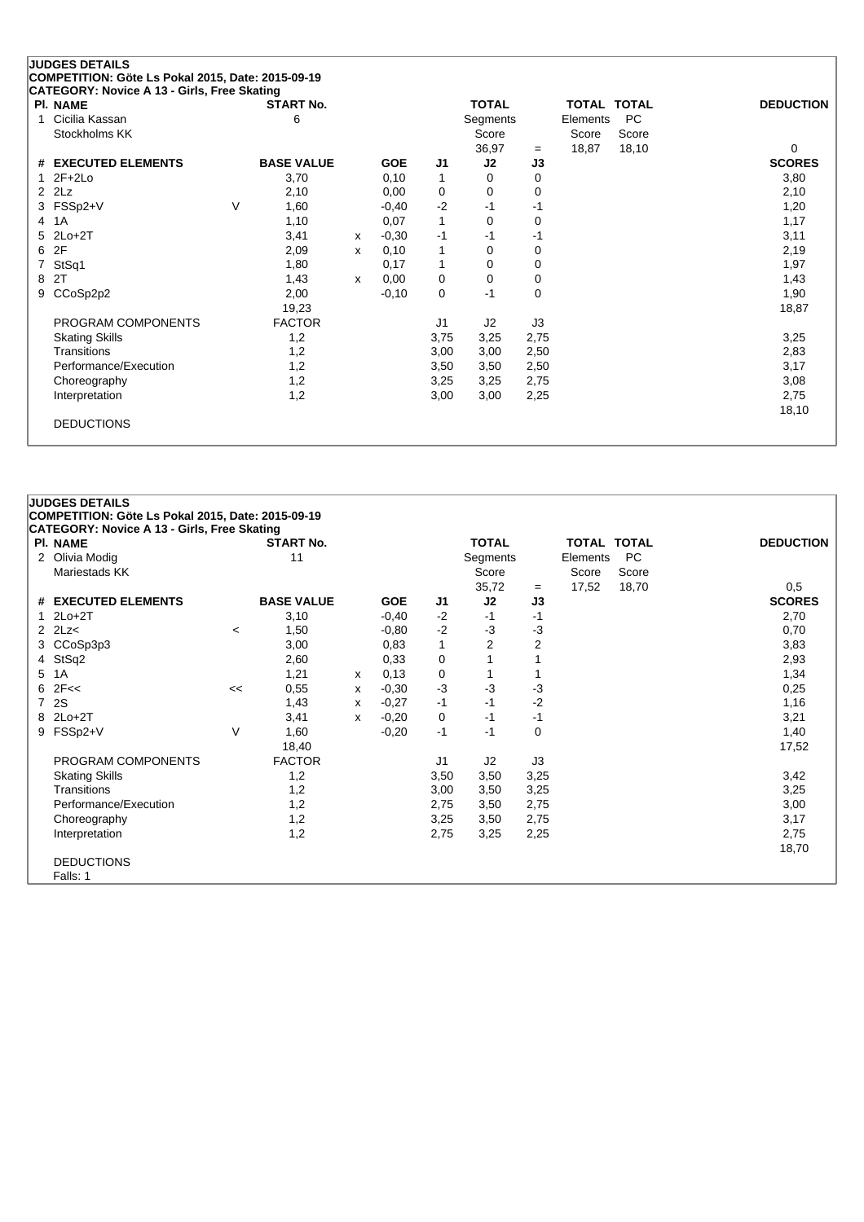| CATEGORY: Novice A 13 - Girls, Free Skating<br>PI. NAME |   | <b>START No.</b>  |              |            |                | <b>TOTAL</b> |      |          | <b>TOTAL TOTAL</b> | <b>DEDUCTION</b> |
|---------------------------------------------------------|---|-------------------|--------------|------------|----------------|--------------|------|----------|--------------------|------------------|
| Cicilia Kassan<br>1                                     |   | 6                 |              |            |                | Segments     |      | Elements | PC                 |                  |
| Stockholms KK                                           |   |                   |              |            |                | Score        |      | Score    | Score              |                  |
|                                                         |   |                   |              |            |                | 36,97        | $=$  | 18,87    | 18,10              | 0                |
| # EXECUTED ELEMENTS                                     |   | <b>BASE VALUE</b> |              | <b>GOE</b> | J <sub>1</sub> | J2           | J3   |          |                    | <b>SCORES</b>    |
| $2F+2Lo$                                                |   | 3,70              |              | 0,10       | 1              | 0            | 0    |          |                    | 3,80             |
| $2$ $2Lz$                                               |   | 2,10              |              | 0,00       | 0              | 0            | 0    |          |                    | 2,10             |
| FSSp2+V<br>3                                            | V | 1,60              |              | $-0,40$    | $-2$           | $-1$         | -1   |          |                    | 1,20             |
| 1A<br>4                                                 |   | 1,10              |              | 0,07       | $\mathbf{1}$   | 0            | 0    |          |                    | 1,17             |
| $2Lo+2T$<br>5                                           |   | 3,41              | $\mathsf{x}$ | $-0,30$    | -1             | -1           | -1   |          |                    | 3,11             |
| 2F<br>6                                                 |   | 2,09              | x            | 0,10       | 1              | $\Omega$     | 0    |          |                    | 2,19             |
| StSq1                                                   |   | 1,80              |              | 0,17       | 1              | 0            | 0    |          |                    | 1,97             |
| 2T<br>8                                                 |   | 1,43              | X            | 0,00       | 0              | 0            | 0    |          |                    | 1,43             |
| CCoSp2p2<br>9                                           |   | 2,00              |              | $-0,10$    | 0              | $-1$         | 0    |          |                    | 1,90             |
|                                                         |   | 19,23             |              |            |                |              |      |          |                    | 18,87            |
| PROGRAM COMPONENTS                                      |   | <b>FACTOR</b>     |              |            | J1             | J2           | J3   |          |                    |                  |
| <b>Skating Skills</b>                                   |   | 1,2               |              |            | 3,75           | 3,25         | 2,75 |          |                    | 3,25             |
| Transitions                                             |   | 1,2               |              |            | 3,00           | 3,00         | 2,50 |          |                    | 2,83             |
| Performance/Execution                                   |   | 1,2               |              |            | 3,50           | 3,50         | 2,50 |          |                    | 3,17             |
| Choreography                                            |   | 1,2               |              |            | 3,25           | 3,25         | 2,75 |          |                    | 3,08             |
| Interpretation                                          |   | 1,2               |              |            | 3,00           | 3,00         | 2,25 |          |                    | 2,75             |
|                                                         |   |                   |              |            |                |              |      |          |                    | 18,10            |

### **JUDGES DETAILS COMPETITION: Göte Ls Pokal 2015, Date: 2015-09-19 CATEGORY: Novice A 13 - Girls, Free Skating Pl. NAME START No. TOTAL TOTAL TOTAL DEDUCTION** 2 Olivia Modig 11 3 Colivia Modig 11 3 Colivia Modig 11 Segments Elements PC Mariestads KK Score Score Score Score Score Score Score Score Score Score Score Score Score Score Score Score Score Score Score Score Score Score Score Score Score Score Score Score Score Score Score Score Score Score Scor 35,72 = 17,52 18,70 0,5<br> **J2 J3 SCORES # EXECUTED ELEMENTS BASE VALUE GOE J1 J2 J3 SCORES** 1 2Lo+2T 3,10 -0,40 -2 -1 -1 2,70 2 2Lz< <sup>&</sup>lt; 1,50 -0,80 -2 -3 -3 0,70 3 CCoSp3p3 3,00 0,83 1 2 2 3,83 4 StSq2 2,60 0,33 0 1 1 2,93 5 1A 1,21 <sup>x</sup> 0,13 0 1 1 1,34 6 2F<< << 0,55 <sup>x</sup> -0,30 -3 -3 -3 0,25 7 2S 1,43 <sup>x</sup> -0,27 -1 -1 -2 1,16 8 2Lo+2T 3,41 <sup>x</sup> -0,20 0 -1 -1 3,21 9 FSSp2+V V 1,60 -0,20 -1 -1 0 1,40 18,40 17,52 PROGRAM COMPONENTS FACTOR J1 J2 J3 Skating Skills 1,2 3,50 3,50 3,25 3,42 Transitions 1,2 3,00 3,50 3,25 3,25 Performance/Execution 1,2 3,00 2,75 3,50 2,75 3,50 3,00 Choreography 1,2 3,25 3,50 2,75 3,17 Interpretation 1,2 2,75 3,25 2,25 2,75 18,70 DEDUCTIONS Falls: 1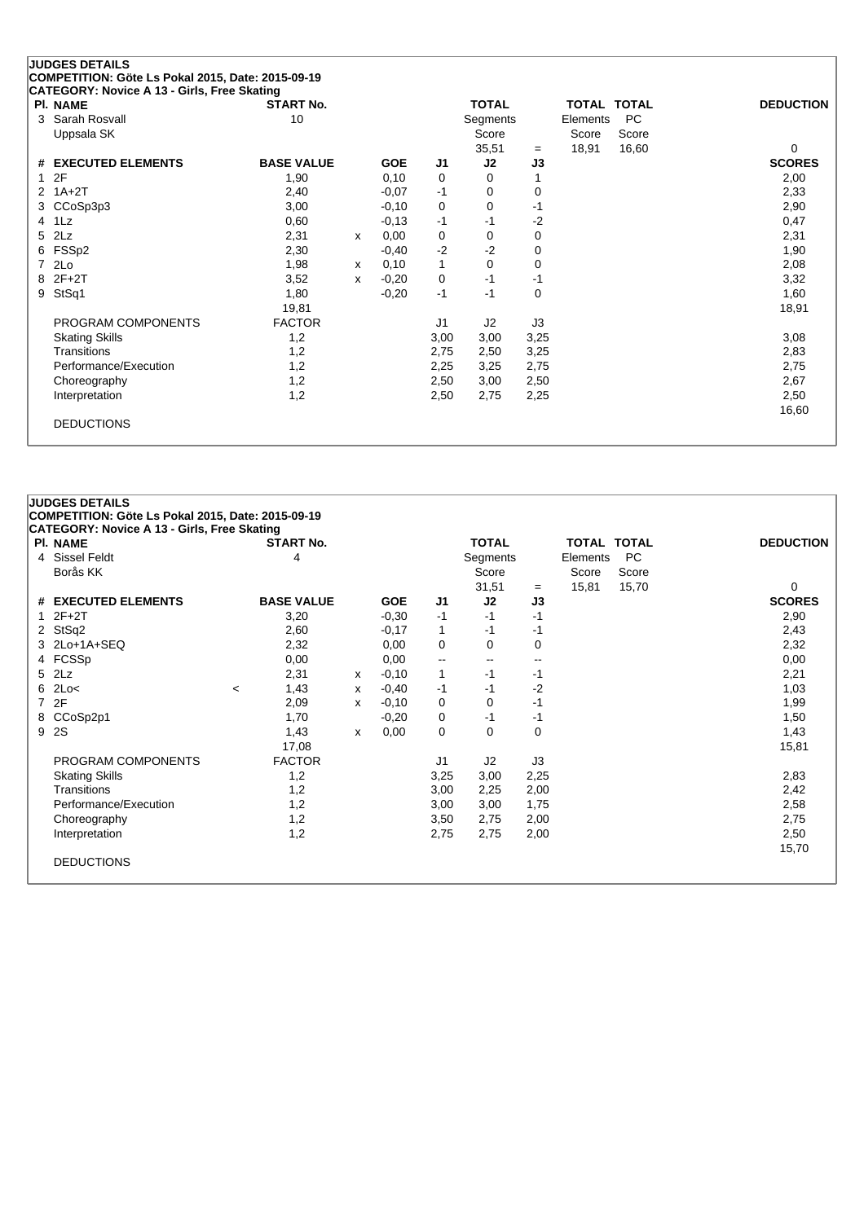| <b>JUDGES DETAILS</b>  | CATEGORY: Novice A 13 - Girls, Free Skating | COMPETITION: Göte Ls Pokal 2015, Date: 2015-09-19 |            |              |              |    |
|------------------------|---------------------------------------------|---------------------------------------------------|------------|--------------|--------------|----|
| <b>PI. NAME</b>        |                                             | <b>START No.</b>                                  |            |              | <b>TOTAL</b> |    |
| 3 Sarah Rosvall        |                                             | 10                                                |            |              | Segments     |    |
| Uppsala SK             |                                             |                                                   |            |              | Score        |    |
|                        |                                             |                                                   |            |              | 35.51        |    |
| # EXECUTED ELEMENTS    |                                             | <b>BASE VALUE</b>                                 | <b>GOE</b> | J1.          | J2           | J3 |
| -2F                    |                                             | 1,90                                              | 0.10       | 0            | 0            |    |
| $2 \t1A+2T$            |                                             | 2.40                                              | $-0.07$    | -1           | 0            |    |
| $C$ Co $S$ n $3$ n $3$ |                                             | 3.00                                              | -0.10      | <sup>0</sup> | O            | -1 |

| # EXECUTED ELEMENTS   | <b>BASE VALUE</b> |   | <b>GOE</b> | J <sub>1</sub> | J2   | J3       | <b>SCORES</b> |
|-----------------------|-------------------|---|------------|----------------|------|----------|---------------|
| 12F                   | 1,90              |   | 0,10       | 0              | 0    |          | 2,00          |
| $2 \quad 1A+2T$       | 2,40              |   | $-0,07$    | $-1$           | 0    | 0        | 2,33          |
| 3 CCoSp3p3            | 3,00              |   | $-0,10$    | 0              | 0    | -1       | 2,90          |
| 4 1Lz                 | 0,60              |   | $-0,13$    | $-1$           | $-1$ | $-2$     | 0,47          |
| 5 2Lz                 | 2,31              | x | 0,00       | 0              | 0    | 0        | 2,31          |
| 6 FSSp2               | 2,30              |   | $-0,40$    | $-2$           | $-2$ | 0        | 1,90          |
| 7 2Lo                 | 1,98              | x | 0,10       | 1              | 0    | 0        | 2,08          |
| 8 2F+2T               | 3,52              | x | $-0,20$    | 0              | $-1$ | -1       | 3,32          |
| 9 StSq1               | 1,80              |   | $-0,20$    | $-1$           | $-1$ | $\Omega$ | 1,60          |
|                       | 19,81             |   |            |                |      |          | 18,91         |
| PROGRAM COMPONENTS    | <b>FACTOR</b>     |   |            | J1             | J2   | J3       |               |
| <b>Skating Skills</b> | 1,2               |   |            | 3,00           | 3,00 | 3,25     | 3,08          |
| <b>Transitions</b>    | 1,2               |   |            | 2,75           | 2,50 | 3,25     | 2,83          |
| Performance/Execution | 1,2               |   |            | 2,25           | 3,25 | 2,75     | 2,75          |
| Choreography          | 1,2               |   |            | 2,50           | 3,00 | 2,50     | 2,67          |
| Interpretation        | 1,2               |   |            | 2,50           | 2,75 | 2,25     | 2,50          |
|                       |                   |   |            |                |      |          | 16,60         |
| <b>DEDUCTIONS</b>     |                   |   |            |                |      |          |               |

**Pl. NAME START No. TOTAL TOTAL TOTAL DEDUCTION**

35,51 <sup>=</sup> 18,91 16,60 0

Elements PC Score Score<br>18.91 16.60

# **JUDGES DETAILS COMPETITION: Göte Ls Pokal 2015, Date: 2015-09-19 CATEGORY: Novice A 13 - Girls, Free Skating**  $\begin{array}{ccc}\n\hline\n\end{array}$  **PLACE** TOTAL TOTAL **DEDUCTION** 4 Sissel Feldt 1 Segments Elements PC<br>Borås KK Score Score Score Score Score Score Score Score 31,51 = 15,81 15,70 0<br> **J2 J3 SCORES # EXECUTED ELEMENTS BASE VALUE GOE J1 J2 J3 SCORES** 1 2F+2T 3,20 -0,30 -1 -1 -1 2,90 2 StSq2 2 2,60 -0,17 1 -1 -1 -1 -1 -1 2,43 3 2Lo+1A+SEQ 2,32 0,00 0 0 0 2,32 4 FCSSp 0,00 0,00 -- -- -- 0,00 5 2Lz 2,31 <sup>x</sup> -0,10 1 -1 -1 2,21 6 2Lo< <sup>&</sup>lt; 1,43 <sup>x</sup> -0,40 -1 -1 -2 1,03 7 2F 2,09 <sup>x</sup> -0,10 0 0 -1 1,99 8 CCoSp2p1 1,70 -0,20 0 -1 -1 1,50 9 2S 1,43 <sup>x</sup> 0,00 0 0 0 1,43 17,08 15,81 PROGRAM COMPONENTS FACTOR J1 J2 J3 Skating Skills 1,2 3,25 3,00 2,25 2,83 Transitions 1,2 3,00 2,25 2,00 2,42 Performance/Execution 1,2 3,00 3,00 1,75 2,58 Choreography 1,2 3,50 2,75 2,00 2,75 Interpretation 1,2 2,75 2,75 2,00 2,50 15,70 DEDUCTIONS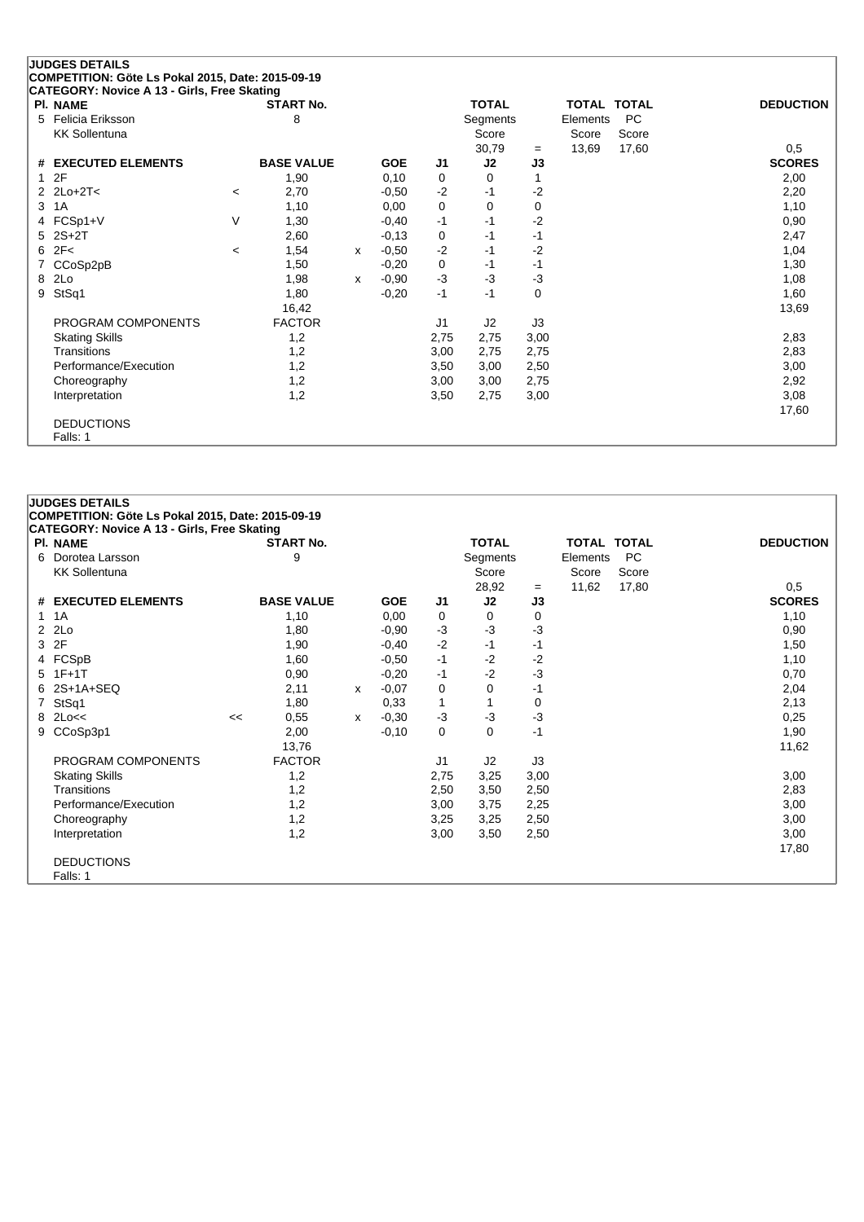# **JUDGES DETAILS COMPETITION: Göte Ls Pokal 2015, Date: 2015-09-19 CATEGORY: Novice A 13 - Girls, Free Skating**

| PI. NAME                   |                          | <b>START No.</b>  |   |            |                | TOTAL    |      | TOTAL TOTAL |       | <b>DEDUCTION</b> |
|----------------------------|--------------------------|-------------------|---|------------|----------------|----------|------|-------------|-------|------------------|
| 5 Felicia Eriksson         |                          | 8                 |   |            |                | Segments |      | Elements    | PC    |                  |
| <b>KK Sollentuna</b>       |                          |                   |   |            |                | Score    |      | Score       | Score |                  |
|                            |                          |                   |   |            |                | 30,79    | $=$  | 13,69       | 17,60 | 0,5              |
| # EXECUTED ELEMENTS        |                          | <b>BASE VALUE</b> |   | <b>GOE</b> | J1             | J2       | J3   |             |       | <b>SCORES</b>    |
| 12F                        |                          | 1,90              |   | 0,10       | 0              | 0        |      |             |       | 2,00             |
| 2 $2$ $2$ $2$ $-2$ $T$ $<$ | $\overline{\phantom{a}}$ | 2,70              |   | $-0,50$    | $-2$           | $-1$     | $-2$ |             |       | 2,20             |
| 3 1 A                      |                          | 1,10              |   | 0,00       | 0              | 0        | 0    |             |       | 1,10             |
| 4 FCSp1+V                  | V                        | 1,30              |   | $-0,40$    | $-1$           | $-1$     | $-2$ |             |       | 0,90             |
| $5$ 2S+2T                  |                          | 2,60              |   | $-0,13$    | 0              | $-1$     | -1   |             |       | 2,47             |
| 62F<                       | $\,<\,$                  | 1,54              | x | $-0,50$    | $-2$           | $-1$     | $-2$ |             |       | 1,04             |
| 7 CCoSp2pB                 |                          | 1,50              |   | $-0,20$    | 0              | $-1$     | -1   |             |       | 1,30             |
| 8 2Lo                      |                          | 1,98              | x | $-0,90$    | $-3$           | $-3$     | $-3$ |             |       | 1,08             |
| 9 StSq1                    |                          | 1,80              |   | $-0,20$    | $-1$           | $-1$     | 0    |             |       | 1,60             |
|                            |                          | 16,42             |   |            |                |          |      |             |       | 13,69            |
| PROGRAM COMPONENTS         |                          | <b>FACTOR</b>     |   |            | J <sub>1</sub> | J2       | J3   |             |       |                  |
| <b>Skating Skills</b>      |                          | 1,2               |   |            | 2,75           | 2,75     | 3,00 |             |       | 2,83             |
| Transitions                |                          | 1,2               |   |            | 3,00           | 2,75     | 2,75 |             |       | 2,83             |
| Performance/Execution      |                          | 1,2               |   |            | 3,50           | 3,00     | 2,50 |             |       | 3,00             |
| Choreography               |                          | 1,2               |   |            | 3,00           | 3,00     | 2,75 |             |       | 2,92             |
| Interpretation             |                          | 1,2               |   |            | 3,50           | 2,75     | 3,00 |             |       | 3,08             |
|                            |                          |                   |   |            |                |          |      |             |       | 17,60            |
| <b>DEDUCTIONS</b>          |                          |                   |   |            |                |          |      |             |       |                  |
| Falls: 1                   |                          |                   |   |            |                |          |      |             |       |                  |

### **JUDGES DETAILS COMPETITION: Göte Ls Pokal 2015, Date: 2015-09-19 CATEGORY: Novice A 13 - Girls, Free Skating Pl. NAME START No. TOTAL TOTAL TOTAL DEDUCTION** 6 Dorotea Larsson 9 Segments Elements PC KK Sollentuna Score Score Score Score Score Score Score Score Score Score Score Score Score Score Score Score Score Score Score Score Score Score Score Score Score Score Score Score Score Score Score Score Score Score Scor 28,92 = 11,62 17,80 0,5<br> **J2 J3 SCORES # EXECUTED ELEMENTS BASE VALUE GOE J1 J2 J3 SCORES** 1 1A 1,10 0,00 0 0 0 1,10 2 2Lo 1,80 -0,90 -3 -3 -3 0,90 3 2F 1,90 -0,40 -2 -1 -1 1,50 4 FCSpB 1,60 -0,50 -1 -2 -2 1,10 5 1F+1T 0,90 -0,20 -1 -2 -3 0,70 6 2S+1A+SEQ 2,11 <sup>x</sup> -0,07 0 0 -1 2,04 7 StSq1 1,80 0,33 1 1 0 2,13 8 2Lo<< << 0,55 <sup>x</sup> -0,30 -3 -3 -3 0,25 9 CCoSp3p1 2,00 -0,10 0 0 -1 1,90 13,76 11,62 PROGRAM COMPONENTS FACTOR 11 J2 J3 Skating Skills 1,2 2,75 3,25 3,00 3,00 Transitions 1,2 2,50 3,50 2,50 2,83 Performance/Execution 1,2 3,00 3,75 2,25 3,00 3,00 3,75 3,00 Choreography 1,2 3,25 3,25 2,50 3,00 Interpretation 1,2 3,00 3,50 2,50 3,00 17,80 DEDUCTIONS Falls: 1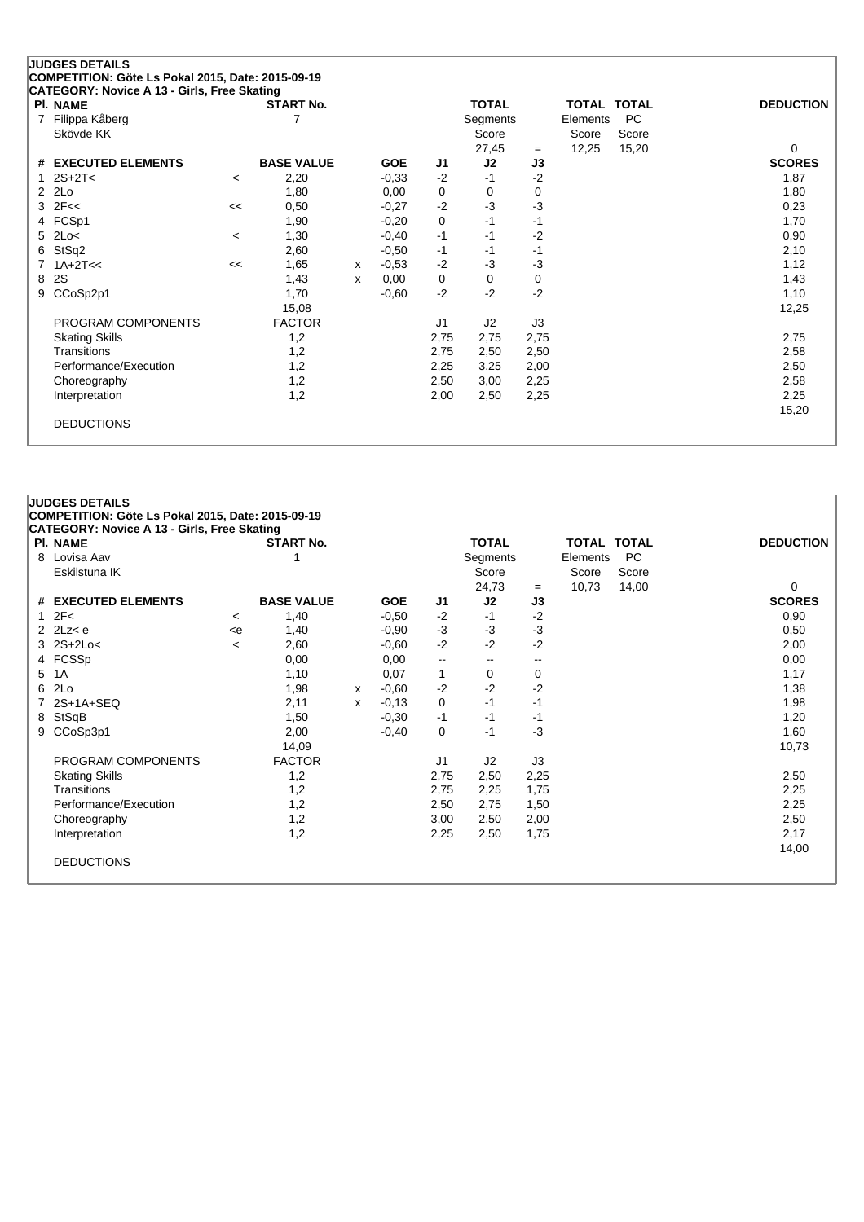# **JUDGES DETAILS COMPETITION: Göte Ls Pokal 2015, Date: 2015-09-19 CATEGORY: Novice A 13 - Girls, Free Skating**

| PI. NAME              |         | <b>START No.</b>  |   |            |                | <b>TOTAL</b> |      | <b>TOTAL</b> | <b>TOTAL</b> | <b>DEDUCTION</b> |
|-----------------------|---------|-------------------|---|------------|----------------|--------------|------|--------------|--------------|------------------|
| 7 Filippa Kåberg      |         |                   |   |            |                | Segments     |      | Elements     | <b>PC</b>    |                  |
| Skövde KK             |         |                   |   |            |                | Score        |      | Score        | Score        |                  |
|                       |         |                   |   |            |                | 27,45        | $=$  | 12,25        | 15,20        | 0                |
| # EXECUTED ELEMENTS   |         | <b>BASE VALUE</b> |   | <b>GOE</b> | J <sub>1</sub> | J2           | J3   |              |              | <b>SCORES</b>    |
| 1 $2S+2T<$            | <       | 2,20              |   | $-0,33$    | $-2$           | -1           | $-2$ |              |              | 1,87             |
| $2$ $2Lo$             |         | 1,80              |   | 0,00       | 0              | 0            | 0    |              |              | 1,80             |
| $3$ $2F <$            | <<      | 0,50              |   | $-0,27$    | $-2$           | $-3$         | -3   |              |              | 0,23             |
| 4 FCSp1               |         | 1,90              |   | $-0,20$    | 0              | $-1$         | $-1$ |              |              | 1,70             |
| $5$ 2Lo<              | $\,<\,$ | 1,30              |   | $-0,40$    | $-1$           | $-1$         | $-2$ |              |              | 0,90             |
| 6 StSq2               |         | 2,60              |   | $-0,50$    | $-1$           | -1           | $-1$ |              |              | 2,10             |
| $7.1A+2T<<$           | <<      | 1,65              | х | $-0,53$    | $-2$           | -3           | -3   |              |              | 1,12             |
| 8 2S                  |         | 1,43              | x | 0,00       | 0              | 0            | 0    |              |              | 1,43             |
| 9 CCoSp2p1            |         | 1,70              |   | $-0,60$    | $-2$           | $-2$         | $-2$ |              |              | 1,10             |
|                       |         | 15,08             |   |            |                |              |      |              |              | 12,25            |
| PROGRAM COMPONENTS    |         | <b>FACTOR</b>     |   |            | J <sub>1</sub> | J2           | J3   |              |              |                  |
| <b>Skating Skills</b> |         | 1,2               |   |            | 2,75           | 2,75         | 2,75 |              |              | 2,75             |
| Transitions           |         | 1,2               |   |            | 2,75           | 2,50         | 2,50 |              |              | 2,58             |
| Performance/Execution |         | 1,2               |   |            | 2,25           | 3,25         | 2,00 |              |              | 2,50             |
| Choreography          |         | 1,2               |   |            | 2,50           | 3,00         | 2,25 |              |              | 2,58             |
| Interpretation        |         | 1,2               |   |            | 2,00           | 2,50         | 2,25 |              |              | 2,25             |
|                       |         |                   |   |            |                |              |      |              |              | 15,20            |
| <b>DEDUCTIONS</b>     |         |                   |   |            |                |              |      |              |              |                  |
|                       |         |                   |   |            |                |              |      |              |              |                  |

## **JUDGES DETAILS**

**COMPETITION: Göte Ls Pokal 2015, Date: 2015-09-19**

| <b>PI. NAME</b>       |         | <b>START No.</b>  |   |            |                          | <b>TOTAL</b> |      | TOTAL TOTAL |           | <b>DEDUCTION</b> |
|-----------------------|---------|-------------------|---|------------|--------------------------|--------------|------|-------------|-----------|------------------|
| 8 Lovisa Aav          |         |                   |   |            |                          | Segments     |      | Elements    | <b>PC</b> |                  |
| Eskilstuna IK         |         |                   |   |            |                          | Score        |      | Score       | Score     |                  |
|                       |         |                   |   |            |                          | 24,73        | $=$  | 10,73       | 14,00     | 0                |
| # EXECUTED ELEMENTS   |         | <b>BASE VALUE</b> |   | <b>GOE</b> | J1                       | J2           | J3   |             |           | <b>SCORES</b>    |
| $1 \quad 2F<$         | $\,<\,$ | 1,40              |   | $-0,50$    | $-2$                     | $-1$         | $-2$ |             |           | 0,90             |
| 2 $2Lz < e$           | < e     | 1,40              |   | $-0,90$    | $-3$                     | $-3$         | $-3$ |             |           | 0,50             |
| $3$ $2S+2Lo<$         | $\prec$ | 2,60              |   | $-0,60$    | $-2$                     | $-2$         | $-2$ |             |           | 2,00             |
| 4 FCSSp               |         | 0,00              |   | 0,00       | $\overline{\phantom{a}}$ | $- -$        | --   |             |           | 0,00             |
| 5 1A                  |         | 1,10              |   | 0,07       | 1                        | 0            | 0    |             |           | 1,17             |
| 6 2Lo                 |         | 1,98              | X | $-0.60$    | $-2$                     | $-2$         | $-2$ |             |           | 1,38             |
| 7 2S+1A+SEQ           |         | 2,11              | x | $-0,13$    | 0                        | $-1$         | $-1$ |             |           | 1,98             |
| 8 StSqB               |         | 1,50              |   | $-0,30$    | -1                       | $-1$         | -1   |             |           | 1,20             |
| 9 CCoSp3p1            |         | 2,00              |   | $-0,40$    | 0                        | $-1$         | $-3$ |             |           | 1,60             |
|                       |         | 14,09             |   |            |                          |              |      |             |           | 10,73            |
| PROGRAM COMPONENTS    |         | <b>FACTOR</b>     |   |            | J1                       | J2           | J3   |             |           |                  |
| <b>Skating Skills</b> |         | 1,2               |   |            | 2,75                     | 2,50         | 2,25 |             |           | 2,50             |
| Transitions           |         | 1,2               |   |            | 2,75                     | 2,25         | 1,75 |             |           | 2,25             |
| Performance/Execution |         | 1,2               |   |            | 2,50                     | 2,75         | 1,50 |             |           | 2,25             |
| Choreography          |         | 1,2               |   |            | 3,00                     | 2,50         | 2,00 |             |           | 2,50             |
| Interpretation        |         | 1,2               |   |            | 2,25                     | 2,50         | 1,75 |             |           | 2,17             |
|                       |         |                   |   |            |                          |              |      |             |           | 14,00            |
| <b>DEDUCTIONS</b>     |         |                   |   |            |                          |              |      |             |           |                  |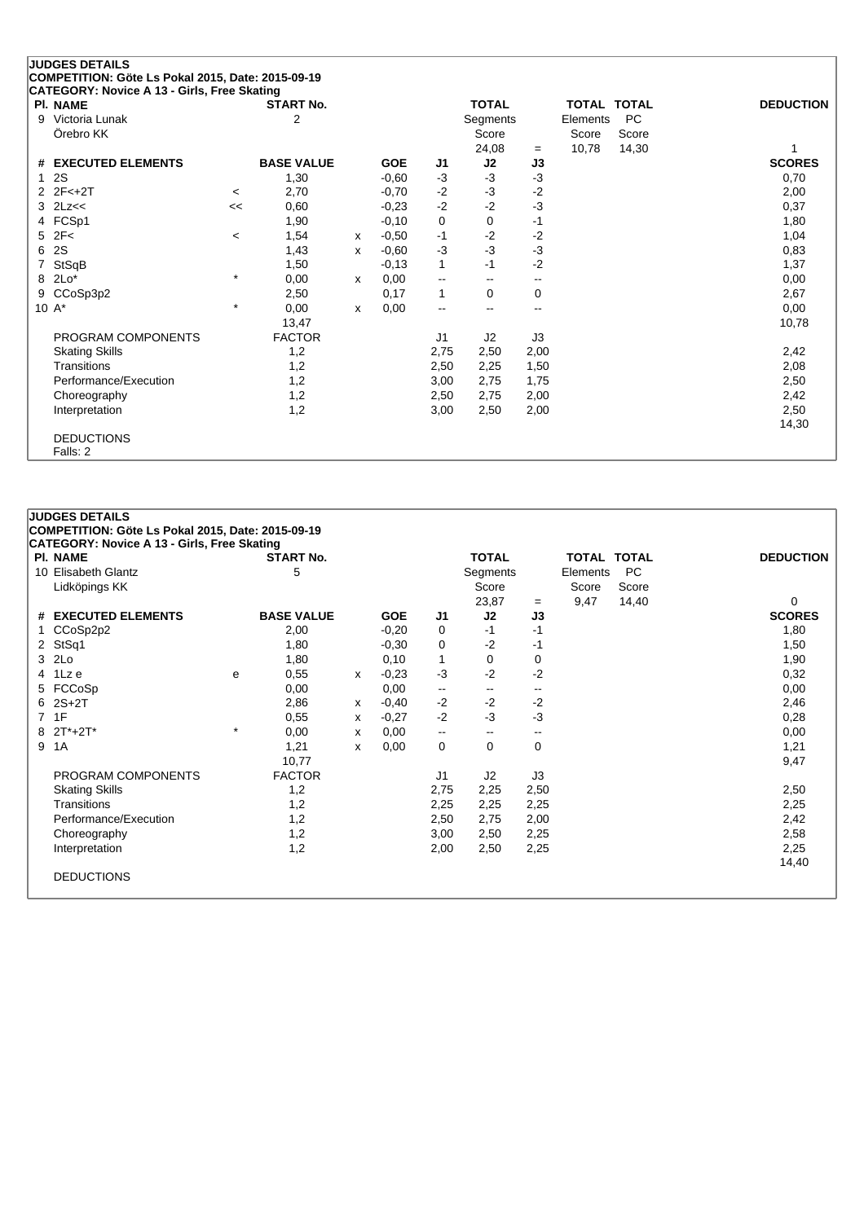# **JUDGES DETAILS COMPETITION: Göte Ls Pokal 2015, Date: 2015-09-19 CATEGORY: Novice A 13 - Girls, Free Skating**

|   | PI. NAME              |         | <b>START No.</b>  |   |            |                          | <b>TOTAL</b>             |                          | <b>TOTAL TOTAL</b> |           | <b>DEDUCTION</b> |
|---|-----------------------|---------|-------------------|---|------------|--------------------------|--------------------------|--------------------------|--------------------|-----------|------------------|
| 9 | Victoria Lunak        |         | $\overline{2}$    |   |            |                          | Segments                 |                          | Elements           | <b>PC</b> |                  |
|   | Örebro KK             |         |                   |   |            |                          | Score                    |                          | Score              | Score     |                  |
|   |                       |         |                   |   |            |                          | 24,08                    | $=$                      | 10,78              | 14,30     |                  |
|   | # EXECUTED ELEMENTS   |         | <b>BASE VALUE</b> |   | <b>GOE</b> | J1                       | J2                       | J3                       |                    |           | <b>SCORES</b>    |
|   | <b>2S</b>             |         | 1,30              |   | $-0,60$    | $-3$                     | $-3$                     | $-3$                     |                    |           | 0,70             |
|   | $2 \t2F < +2T$        | $\,<\,$ | 2,70              |   | $-0,70$    | $-2$                     | $-3$                     | $-2$                     |                    |           | 2,00             |
|   | $3$ $2Lz<<$           | <<      | 0,60              |   | $-0,23$    | $-2$                     | $-2$                     | -3                       |                    |           | 0,37             |
|   | 4 FCSp1               |         | 1,90              |   | $-0,10$    | 0                        | 0                        | $-1$                     |                    |           | 1,80             |
|   | $5$ $2F<$             | $\,<\,$ | 1,54              | х | $-0,50$    | $-1$                     | $-2$                     | $-2$                     |                    |           | 1,04             |
|   | 6 2S                  |         | 1,43              | x | $-0.60$    | $-3$                     | $-3$                     | $-3$                     |                    |           | 0,83             |
|   | 7 StSqB               |         | 1,50              |   | $-0,13$    | $\mathbf{1}$             | -1                       | $-2$                     |                    |           | 1,37             |
|   | 8 2Lo*                | $\star$ | 0,00              | x | 0,00       | $\overline{\phantom{a}}$ | $\overline{\phantom{m}}$ | $\overline{\phantom{a}}$ |                    |           | 0,00             |
|   | 9 CCoSp3p2            |         | 2,50              |   | 0,17       | $\mathbf{1}$             | 0                        | 0                        |                    |           | 2,67             |
|   | 10 $A^*$              | $\star$ | 0,00              | x | 0,00       | $\overline{\phantom{a}}$ | $\overline{\phantom{a}}$ | $-$                      |                    |           | 0,00             |
|   |                       |         | 13,47             |   |            |                          |                          |                          |                    |           | 10,78            |
|   | PROGRAM COMPONENTS    |         | <b>FACTOR</b>     |   |            | J1                       | J2                       | J3                       |                    |           |                  |
|   | <b>Skating Skills</b> |         | 1,2               |   |            | 2,75                     | 2,50                     | 2,00                     |                    |           | 2,42             |
|   | Transitions           |         | 1,2               |   |            | 2,50                     | 2,25                     | 1,50                     |                    |           | 2,08             |
|   | Performance/Execution |         | 1,2               |   |            | 3,00                     | 2,75                     | 1,75                     |                    |           | 2,50             |
|   | Choreography          |         | 1,2               |   |            | 2,50                     | 2,75                     | 2,00                     |                    |           | 2,42             |
|   | Interpretation        |         | 1,2               |   |            | 3,00                     | 2,50                     | 2,00                     |                    |           | 2,50             |
|   |                       |         |                   |   |            |                          |                          |                          |                    |           | 14,30            |
|   | <b>DEDUCTIONS</b>     |         |                   |   |            |                          |                          |                          |                    |           |                  |
|   | Falls: 2              |         |                   |   |            |                          |                          |                          |                    |           |                  |

#### **JUDGES DETAILS**

**COMPETITION: Göte Ls Pokal 2015, Date: 2015-09-19**

| <b>PI. NAME</b>       |         | <b>START No.</b>  |   |            |                          | <b>TOTAL</b>             |      | TOTAL TOTAL |           | <b>DEDUCTION</b> |
|-----------------------|---------|-------------------|---|------------|--------------------------|--------------------------|------|-------------|-----------|------------------|
| 10 Elisabeth Glantz   |         | 5                 |   |            |                          | Segments                 |      | Elements    | <b>PC</b> |                  |
| Lidköpings KK         |         |                   |   |            |                          | Score                    |      | Score       | Score     |                  |
|                       |         |                   |   |            |                          | 23,87                    | $=$  | 9,47        | 14,40     | $\Omega$         |
| # EXECUTED ELEMENTS   |         | <b>BASE VALUE</b> |   | <b>GOE</b> | J1                       | J2                       | J3   |             |           | <b>SCORES</b>    |
| 1 CCoSp2p2            |         | 2,00              |   | $-0,20$    | 0                        | $-1$                     | $-1$ |             |           | 1,80             |
| 2 StSq1               |         | 1,80              |   | $-0.30$    | $\mathbf 0$              | $-2$                     | -1   |             |           | 1,50             |
| 3 2Lo                 |         | 1,80              |   | 0,10       | $\mathbf{1}$             | 0                        | 0    |             |           | 1,90             |
| 4 1Lze                | e       | 0,55              | x | $-0,23$    | $-3$                     | $-2$                     | $-2$ |             |           | 0,32             |
| 5 FCCoSp              |         | 0,00              |   | 0,00       | $\overline{\phantom{a}}$ | $\overline{\phantom{m}}$ | --   |             |           | 0,00             |
| $6$ $2S+2T$           |         | 2,86              | X | $-0,40$    | $-2$                     | $-2$                     | $-2$ |             |           | 2,46             |
| 7 1F                  |         | 0,55              | x | $-0,27$    | $-2$                     | $-3$                     | $-3$ |             |           | 0,28             |
| 8 2T*+2T*             | $\star$ | 0,00              | X | 0,00       | $\overline{\phantom{a}}$ | $\overline{\phantom{m}}$ | --   |             |           | 0,00             |
| 9 1A                  |         | 1,21              | x | 0,00       | 0                        | 0                        | 0    |             |           | 1,21             |
|                       |         | 10,77             |   |            |                          |                          |      |             |           | 9,47             |
| PROGRAM COMPONENTS    |         | <b>FACTOR</b>     |   |            | J1                       | J2                       | J3   |             |           |                  |
| <b>Skating Skills</b> |         | 1,2               |   |            | 2,75                     | 2,25                     | 2,50 |             |           | 2,50             |
| Transitions           |         | 1,2               |   |            | 2,25                     | 2,25                     | 2,25 |             |           | 2,25             |
| Performance/Execution |         | 1,2               |   |            | 2,50                     | 2,75                     | 2,00 |             |           | 2,42             |
| Choreography          |         | 1,2               |   |            | 3,00                     | 2,50                     | 2,25 |             |           | 2,58             |
| Interpretation        |         | 1,2               |   |            | 2,00                     | 2,50                     | 2,25 |             |           | 2,25             |
|                       |         |                   |   |            |                          |                          |      |             |           | 14,40            |
| <b>DEDUCTIONS</b>     |         |                   |   |            |                          |                          |      |             |           |                  |